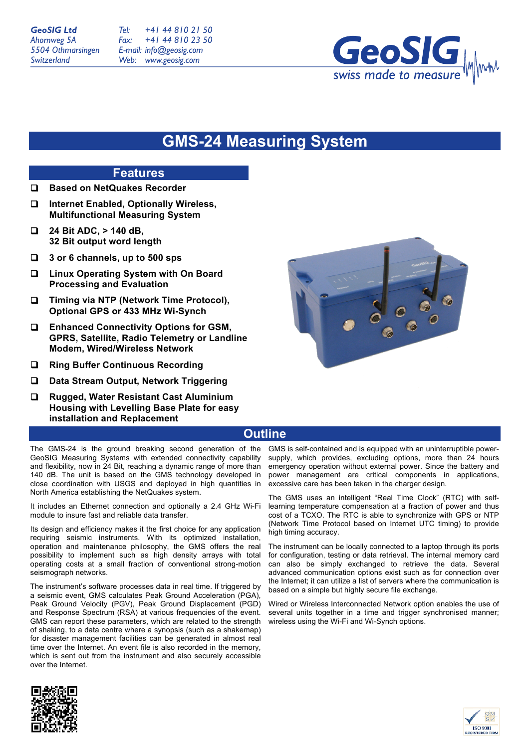*Tel: Fax: E-mail: info@geosig.com Web: www.geosig.com +41 44 810 21 50 +41 44 810 23 50*



# **GMS-24 Measuring System**

## **Features**

- **Based on NetQuakes Recorder**
- **Internet Enabled, Optionally Wireless, Multifunctional Measuring System**
- **24 Bit ADC, > 140 dB, 32 Bit output word length**
- **3 or 6 channels, up to 500 sps**
- **Linux Operating System with On Board Processing and Evaluation**
- **Timing via NTP (Network Time Protocol), Optional GPS or 433 MHz Wi-Synch**
- **Enhanced Connectivity Options for GSM, GPRS, Satellite, Radio Telemetry or Landline Modem, Wired/Wireless Network**
- **Ring Buffer Continuous Recording**
- **Data Stream Output, Network Triggering**
- **Rugged, Water Resistant Cast Aluminium Housing with Levelling Base Plate for easy installation and Replacement**



## **Outline**

The GMS-24 is the ground breaking second generation of the GeoSIG Measuring Systems with extended connectivity capability and flexibility, now in 24 Bit, reaching a dynamic range of more than 140 dB. The unit is based on the GMS technology developed in close coordination with USGS and deployed in high quantities in North America establishing the NetQuakes system.

It includes an Ethernet connection and optionally a 2.4 GHz Wi-Fi module to insure fast and reliable data transfer.

Its design and efficiency makes it the first choice for any application requiring seismic instruments. With its optimized installation, operation and maintenance philosophy, the GMS offers the real possibility to implement such as high density arrays with total operating costs at a small fraction of conventional strong-motion seismograph networks.

The instrument's software processes data in real time. If triggered by a seismic event, GMS calculates Peak Ground Acceleration (PGA), Peak Ground Velocity (PGV), Peak Ground Displacement (PGD) and Response Spectrum (RSA) at various frequencies of the event. GMS can report these parameters, which are related to the strength of shaking, to a data centre where a synopsis (such as a shakemap) for disaster management facilities can be generated in almost real time over the Internet. An event file is also recorded in the memory, which is sent out from the instrument and also securely accessible over the Internet.

GMS is self-contained and is equipped with an uninterruptible powersupply, which provides, excluding options, more than 24 hours emergency operation without external power. Since the battery and power management are critical components in applications, excessive care has been taken in the charger design.

The GMS uses an intelligent "Real Time Clock" (RTC) with selflearning temperature compensation at a fraction of power and thus cost of a TCXO. The RTC is able to synchronize with GPS or NTP (Network Time Protocol based on Internet UTC timing) to provide high timing accuracy.

The instrument can be locally connected to a laptop through its ports for configuration, testing or data retrieval. The internal memory card can also be simply exchanged to retrieve the data. Several advanced communication options exist such as for connection over the Internet; it can utilize a list of servers where the communication is based on a simple but highly secure file exchange.

Wired or Wireless Interconnected Network option enables the use of several units together in a time and trigger synchronised manner; wireless using the Wi-Fi and Wi-Synch options.